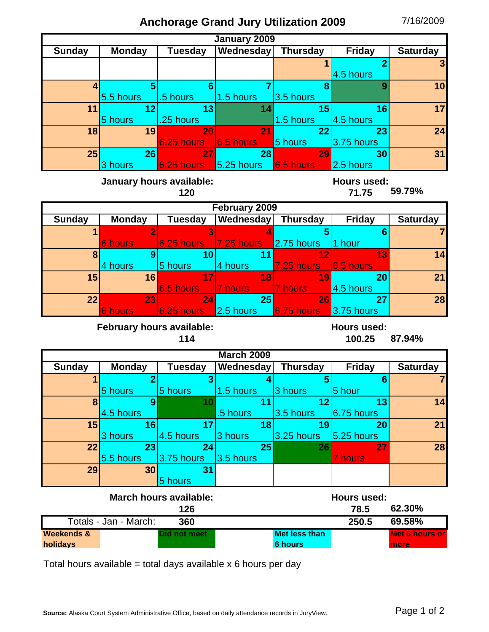## **Anchorage Grand Jury Utilization 2009** 7/16/2009

| <b>January 2009</b>                                                               |                                  |                            |                      |                                        |                      |                               |  |  |  |  |
|-----------------------------------------------------------------------------------|----------------------------------|----------------------------|----------------------|----------------------------------------|----------------------|-------------------------------|--|--|--|--|
| <b>Sunday</b>                                                                     | <b>Monday</b>                    | Tuesday                    | Wednesday            | Thursday                               | <b>Friday</b>        | <b>Saturday</b>               |  |  |  |  |
|                                                                                   |                                  |                            |                      |                                        | 4.5 hours            | 3                             |  |  |  |  |
| 4                                                                                 | 5<br>5.5 hours                   | $6\phantom{1}$<br>.5 hours | 1.5 hours            | 8<br>3.5 hours                         | 9                    | 10                            |  |  |  |  |
| 11                                                                                | 12<br>5 hours                    | 13<br>.25 hours            | 14                   | 15<br>1.5 hours                        | 16<br>4.5 hours      | 17                            |  |  |  |  |
| 18                                                                                | 19                               | 20<br>6.25 hours           | 21<br>6.5 hours      | 22<br>5 hours                          | 23<br>3.75 hours     | 24                            |  |  |  |  |
| 25                                                                                | 26<br>3 hours                    | 27<br>6.25 hours           | 28<br>$5.25$ hours   | 29<br>6.5 hours                        | 30<br>2.5 hours      | 31                            |  |  |  |  |
| January hours available:<br><b>Hours used:</b><br>120<br>71.75                    |                                  |                            |                      |                                        |                      |                               |  |  |  |  |
|                                                                                   |                                  |                            | February 2009        |                                        |                      |                               |  |  |  |  |
| <b>Sunday</b>                                                                     | <b>Monday</b>                    | Tuesday                    | Wednesday Thursday   |                                        | <b>Friday</b>        | <b>Saturday</b>               |  |  |  |  |
|                                                                                   | $\overline{2}$<br><b>6 hours</b> | 6.25 hours                 | 7.25 hours           | 2.75 hours                             | 6<br>1 hour          |                               |  |  |  |  |
| 8                                                                                 | 9<br>4 hours                     | 10<br>5 hours              | 11<br>4 hours        | 12<br>7.25 hours                       | 13<br>6.5 hours      | 14                            |  |  |  |  |
| 15                                                                                | 16                               | 17<br>6.5 hours            | 18<br><b>7</b> hours | 19<br>7 hours                          | 20<br>4.5 hours      | 21                            |  |  |  |  |
| 22                                                                                | 23<br><b>6 hours</b>             | 24<br>6.25 hours 2.5 hours | 25                   | 26<br>6.75 hours                       | 27<br>3.75 hours     | 28                            |  |  |  |  |
| <b>February hours available:</b><br><b>Hours used:</b><br>87.94%<br>100.25<br>114 |                                  |                            |                      |                                        |                      |                               |  |  |  |  |
| <b>March 2009</b>                                                                 |                                  |                            |                      |                                        |                      |                               |  |  |  |  |
| <b>Sunday</b>                                                                     | <b>Monday</b>                    | Tuesday                    | <b>Wednesday</b>     | <b>Thursday</b>                        | <b>Friday</b>        | <b>Saturday</b>               |  |  |  |  |
|                                                                                   | 5 hours                          | 3<br>5 hours               | 1.5 hours            | 5<br>3 hours                           | 6<br>5 hour          |                               |  |  |  |  |
| 8                                                                                 | 9<br>4.5 hours                   | 10                         | 11<br>.5 hours       | 12<br>3.5 hours                        | 13<br>6.75 hours     | 14                            |  |  |  |  |
| 15                                                                                | 16<br>3 hours                    | 17<br>4.5 hours            | 18<br>3 hours        | 19<br>3.25 hours                       | 20<br>5.25 hours     | 21                            |  |  |  |  |
| 22                                                                                | 23<br>5.5 hours                  | 24<br>3.75 hours           | 25<br>3.5 hours      | 26                                     | 27<br><b>7</b> hours | 28                            |  |  |  |  |
| 29                                                                                | 30                               | 31<br>5 hours              |                      |                                        |                      |                               |  |  |  |  |
| <b>March hours available:</b><br><b>Hours used:</b><br>62.30%<br>126<br>78.5      |                                  |                            |                      |                                        |                      |                               |  |  |  |  |
| Totals - Jan - March:<br>250.5<br>360                                             |                                  |                            |                      |                                        |                      | 69.58%                        |  |  |  |  |
| <b>Weekends &amp;</b><br>holidays                                                 |                                  | Did not meet               |                      | <b>Met less than</b><br><b>6 hours</b> |                      | <b>Met 6 hours or</b><br>more |  |  |  |  |

Total hours available = total days available  $x$  6 hours per day